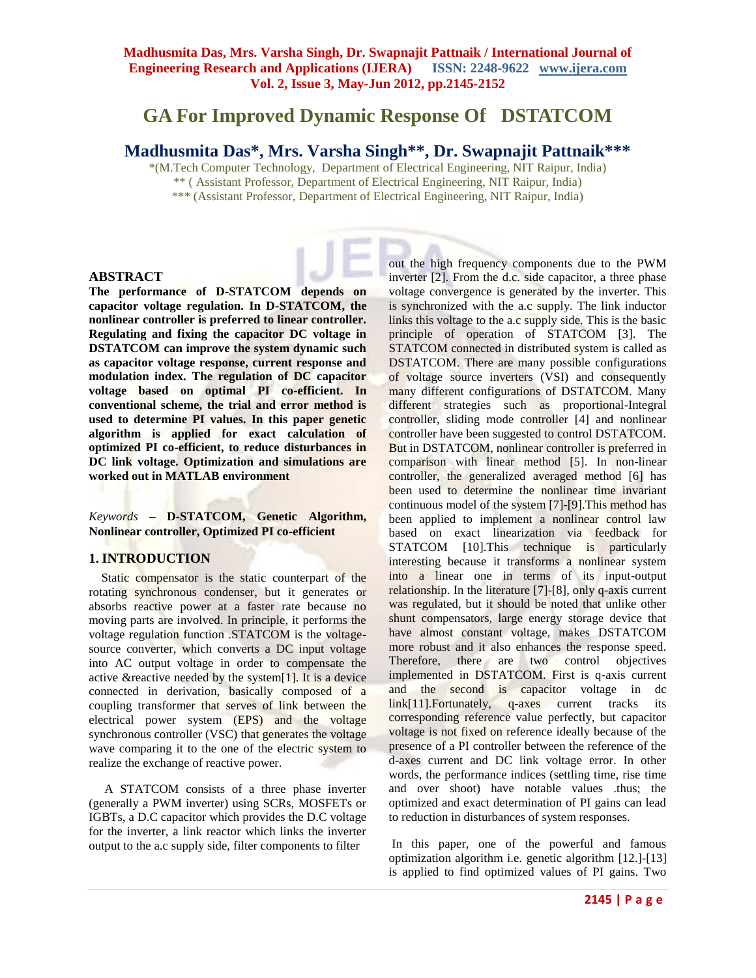# **GA For Improved Dynamic Response Of DSTATCOM**

# **Madhusmita Das\*, Mrs. Varsha Singh\*\*, Dr. Swapnajit Pattnaik\*\*\***

\*(M.Tech Computer Technology, Department of Electrical Engineering, NIT Raipur, India) \*\* ( Assistant Professor, Department of Electrical Engineering, NIT Raipur, India)

\*\*\* (Assistant Professor, Department of Electrical Engineering, NIT Raipur, India)

#### **ABSTRACT**

**The performance of D-STATCOM depends on capacitor voltage regulation. In D-STATCOM, the nonlinear controller is preferred to linear controller. Regulating and fixing the capacitor DC voltage in DSTATCOM can improve the system dynamic such as capacitor voltage response, current response and modulation index. The regulation of DC capacitor voltage based on optimal PI co-efficient. In conventional scheme, the trial and error method is used to determine PI values. In this paper genetic algorithm is applied for exact calculation of optimized PI co-efficient, to reduce disturbances in DC link voltage. Optimization and simulations are worked out in MATLAB environment**

### *Keywords* **– D-STATCOM, Genetic Algorithm, Nonlinear controller, Optimized PI co-efficient**

#### **1. INTRODUCTION**

 Static compensator is the static counterpart of the rotating synchronous condenser, but it generates or absorbs reactive power at a faster rate because no moving parts are involved. In principle, it performs the voltage regulation function .STATCOM is the voltagesource converter, which converts a DC input voltage into AC output voltage in order to compensate the active &reactive needed by the system[1]. It is a device connected in derivation, basically composed of a coupling transformer that serves of link between the electrical power system (EPS) and the voltage synchronous controller (VSC) that generates the voltage wave comparing it to the one of the electric system to realize the exchange of reactive power.

 A STATCOM consists of a three phase inverter (generally a PWM inverter) using SCRs, MOSFETs or IGBTs, a D.C capacitor which provides the D.C voltage for the inverter, a link reactor which links the inverter output to the a.c supply side, filter components to filter

out the high frequency components due to the PWM inverter [2]. From the d.c. side capacitor, a three phase voltage convergence is generated by the inverter. This is synchronized with the a.c supply. The link inductor links this voltage to the a.c supply side. This is the basic principle of operation of STATCOM [3]. The STATCOM connected in distributed system is called as DSTATCOM. There are many possible configurations of voltage source inverters (VSI) and consequently many different configurations of DSTATCOM. Many different strategies such as proportional-Integral controller, sliding mode controller [4] and nonlinear controller have been suggested to control DSTATCOM. But in DSTATCOM, nonlinear controller is preferred in comparison with linear method [5]. In non-linear controller, the generalized averaged method [6] has been used to determine the nonlinear time invariant continuous model of the system [7]-[9].This method has been applied to implement a nonlinear control law based on exact linearization via feedback for STATCOM [10].This technique is particularly interesting because it transforms a nonlinear system into a linear one in terms of its input-output relationship. In the literature [7]-[8], only q-axis current was regulated, but it should be noted that unlike other shunt compensators, large energy storage device that have almost constant voltage, makes DSTATCOM more robust and it also enhances the response speed. Therefore, there are two control objectives implemented in DSTATCOM. First is q-axis current and the second is capacitor voltage in dc link[11].Fortunately, q-axes current tracks its corresponding reference value perfectly, but capacitor voltage is not fixed on reference ideally because of the presence of a PI controller between the reference of the d-axes current and DC link voltage error. In other words, the performance indices (settling time, rise time and over shoot) have notable values .thus; the optimized and exact determination of PI gains can lead to reduction in disturbances of system responses.

In this paper, one of the powerful and famous optimization algorithm i.e. genetic algorithm [12.]-[13] is applied to find optimized values of PI gains. Two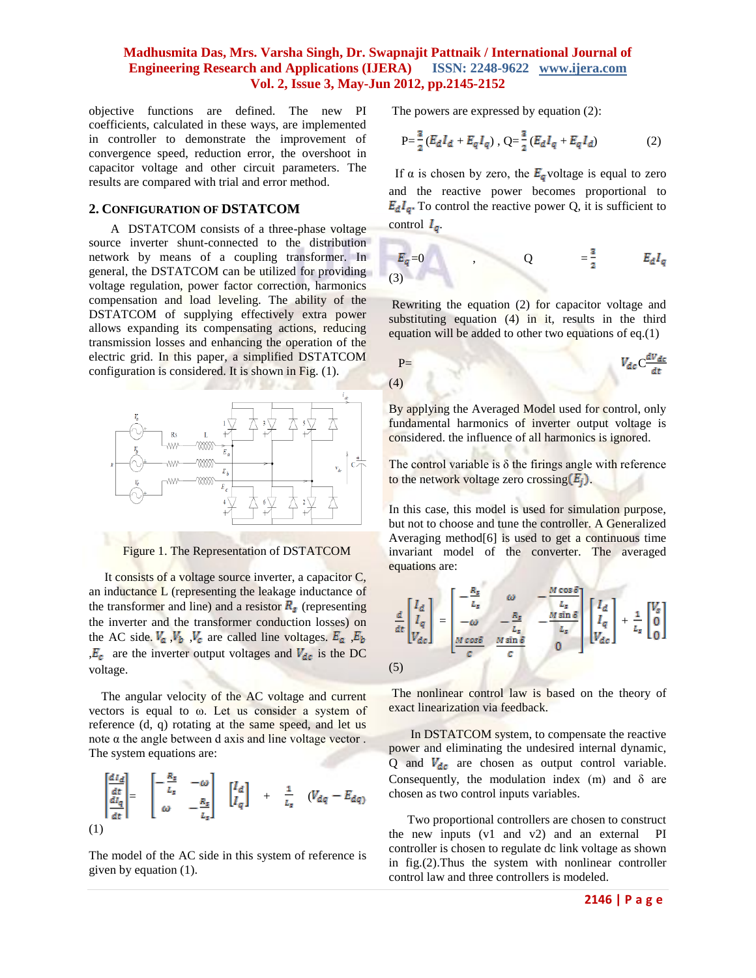objective functions are defined. The new PI coefficients, calculated in these ways, are implemented in controller to demonstrate the improvement of convergence speed, reduction error, the overshoot in capacitor voltage and other circuit parameters. The results are compared with trial and error method.

#### **2. CONFIGURATION OF DSTATCOM**

 A DSTATCOM consists of a three-phase voltage source inverter shunt-connected to the distribution network by means of a coupling transformer. In general, the DSTATCOM can be utilized for providing voltage regulation, power factor correction, harmonics compensation and load leveling. The ability of the DSTATCOM of supplying effectively extra power allows expanding its compensating actions, reducing transmission losses and enhancing the operation of the electric grid. In this paper, a simplified DSTATCOM configuration is considered. It is shown in Fig. (1).



Figure 1. The Representation of DSTATCOM

 It consists of a voltage source inverter, a capacitor C, an inductance L (representing the leakage inductance of the transformer and line) and a resistor  $R<sub>s</sub>$  (representing the inverter and the transformer conduction losses) on the AC side.  $V_a$ ,  $V_b$ ,  $V_c$  are called line voltages.  $E_a$ ,  $E_b$  $E_c$  are the inverter output voltages and  $V_{dc}$  is the DC voltage.

 The angular velocity of the AC voltage and current vectors is equal to ω. Let us consider a system of reference (d, q) rotating at the same speed, and let us note  $α$  the angle between d axis and line voltage vector. The system equations are:

$$
\begin{bmatrix} \frac{dI_d}{dt} \\ \frac{dI_q}{dt} \end{bmatrix} = \begin{bmatrix} -\frac{R_s}{L_s} & -\omega \\ \omega & -\frac{R_s}{L_s} \end{bmatrix} \begin{bmatrix} I_d \\ I_q \end{bmatrix} + \frac{1}{L_s} \quad (V_{dq} - E_{dq})
$$
\n(1)

The model of the AC side in this system of reference is given by equation (1).

The powers are expressed by equation (2):

$$
P = \frac{3}{2} \left( E_d I_d + E_q I_q \right), \ Q = \frac{3}{2} \left( E_d I_q + E_q I_d \right) \tag{2}
$$

If  $\alpha$  is chosen by zero, the  $E_q$  voltage is equal to zero and the reactive power becomes proportional to  $E_dI_g$ . To control the reactive power Q, it is sufficient to control  $I_q$ .

$$
E_q=0
$$
 , 
$$
Q = \frac{3}{2}
$$
 
$$
E_dI_q
$$
 (3)

Rewriting the equation (2) for capacitor voltage and substituting equation (4) in it, results in the third equation will be added to other two equations of eq.(1)

$$
V_{dc}C\frac{dV_{dc}}{dt}
$$

By applying the Averaged Model used for control, only fundamental harmonics of inverter output voltage is considered. the influence of all harmonics is ignored.

The control variable is  $\delta$  the firings angle with reference to the network voltage zero crossing  $(E_i)$ .

In this case, this model is used for simulation purpose, but not to choose and tune the controller. A Generalized Averaging method[6] is used to get a continuous time invariant model of the converter. The averaged equations are:

$$
\frac{d}{dt} \begin{bmatrix} I_d \\ I_q \\ V_{dc} \end{bmatrix} = \begin{bmatrix} -\frac{R_s}{L_s} & \omega & -\frac{M\cos\delta}{L_s} \\ -\omega & -\frac{R_s}{L_s} & -\frac{M\sin\delta}{L_s} \\ \frac{M\cos\delta}{c} & \frac{M\sin\delta}{c} & 0 \end{bmatrix} \begin{bmatrix} I_d \\ I_q \\ V_{dc} \end{bmatrix} + \frac{1}{L_s} \begin{bmatrix} V_s \\ 0 \\ 0 \end{bmatrix}
$$
\n(5)

The nonlinear control law is based on the theory of exact linearization via feedback.

 In DSTATCOM system, to compensate the reactive power and eliminating the undesired internal dynamic, Q and  $V_{dc}$  are chosen as output control variable. Consequently, the modulation index  $(m)$  and  $\delta$  are chosen as two control inputs variables.

 Two proportional controllers are chosen to construct the new inputs (v1 and v2) and an external PI controller is chosen to regulate dc link voltage as shown in fig.(2).Thus the system with nonlinear controller control law and three controllers is modeled.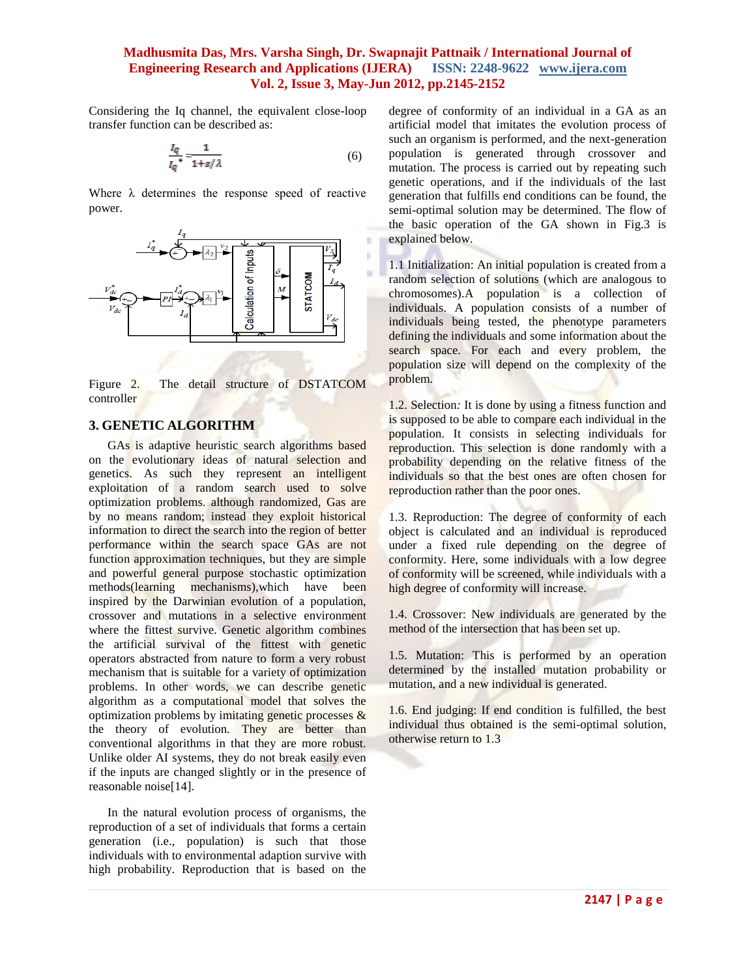Considering the Iq channel, the equivalent close-loop transfer function can be described as:

$$
\frac{I_q}{I_q} = \frac{1}{1 + s/\lambda} \tag{6}
$$

Where  $\lambda$  determines the response speed of reactive power.



Figure 2. The detail structure of DSTATCOM controller

#### **3. GENETIC ALGORITHM**

 GAs is adaptive heuristic search algorithms based on the evolutionary ideas of natural selection and genetics. As such they represent an intelligent exploitation of a random search used to solve optimization problems. although randomized, Gas are by no means random; instead they exploit historical information to direct the search into the region of better performance within the search space GAs are not function approximation techniques, but they are simple and powerful general purpose stochastic optimization methods(learning mechanisms),which have been inspired by the Darwinian evolution of a population, crossover and mutations in a selective environment where the fittest survive. Genetic algorithm combines the artificial survival of the fittest with genetic operators abstracted from nature to form a very robust mechanism that is suitable for a variety of optimization problems. In other words, we can describe genetic algorithm as a computational model that solves the optimization problems by imitating genetic processes & the theory of evolution. They are better than conventional algorithms in that they are more robust. Unlike older AI systems, they do not break easily even if the inputs are changed slightly or in the presence of reasonable noise[14].

 In the natural evolution process of organisms, the reproduction of a set of individuals that forms a certain generation (i.e., population) is such that those individuals with to environmental adaption survive with high probability. Reproduction that is based on the

degree of conformity of an individual in a GA as an artificial model that imitates the evolution process of such an organism is performed, and the next-generation population is generated through crossover and mutation. The process is carried out by repeating such genetic operations, and if the individuals of the last generation that fulfills end conditions can be found, the semi-optimal solution may be determined. The flow of the basic operation of the GA shown in Fig.3 is explained below.

1.1 Initialization: An initial population is created from a random selection of solutions (which are analogous to chromosomes).A population is a collection of individuals. A population consists of a number of individuals being tested, the phenotype parameters defining the individuals and some information about the search space. For each and every problem, the population size will depend on the complexity of the problem.

1.2. Selection*:* It is done by using a fitness function and is supposed to be able to compare each individual in the population. It consists in selecting individuals for reproduction. This selection is done randomly with a probability depending on the relative fitness of the individuals so that the best ones are often chosen for reproduction rather than the poor ones.

1.3. Reproduction: The degree of conformity of each object is calculated and an individual is reproduced under a fixed rule depending on the degree of conformity. Here, some individuals with a low degree of conformity will be screened, while individuals with a high degree of conformity will increase.

1.4. Crossover: New individuals are generated by the method of the intersection that has been set up.

1.5. Mutation: This is performed by an operation determined by the installed mutation probability or mutation, and a new individual is generated.

1.6. End judging: If end condition is fulfilled, the best individual thus obtained is the semi-optimal solution, otherwise return to 1.3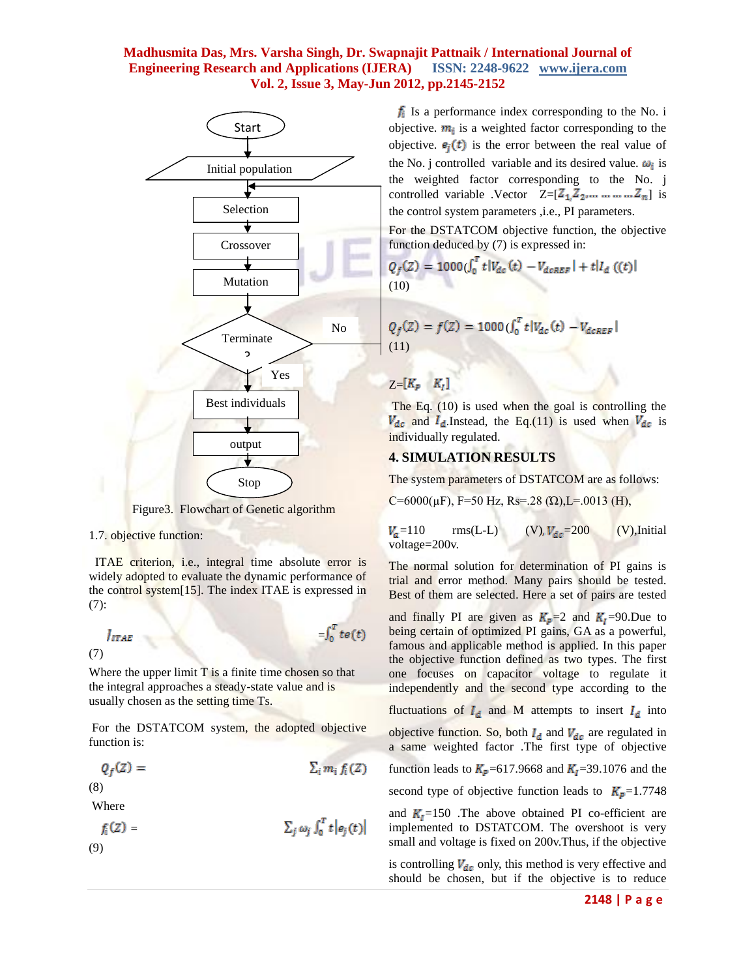

Figure3. Flowchart of Genetic algorithm

1.7. objective function:

 ITAE criterion, i.e., integral time absolute error is widely adopted to evaluate the dynamic performance of the control system[15]. The index ITAE is expressed in (7):

$$
\int_{TAB} = \int_0^T te(t)
$$

Where the upper limit  $T$  is a finite time chosen so that the integral approaches a steady-state value and is usually chosen as the setting time Ts.

For the DSTATCOM system, the adopted objective function is:

$$
Q_f(Z) = \sum_i m_i f_i(Z)
$$

(8)

Where

$$
f_i(Z) = \sum_j \omega_j \int_0^T t |e_j(t)|
$$
\n(9)

 $f_i$  Is a performance index corresponding to the No. i objective.  $m_i$  is a weighted factor corresponding to the objective.  $e_i(t)$  is the error between the real value of the No. j controlled variable and its desired value.  $\omega_i$  is the weighted factor corresponding to the No. j controlled variable .Vector  $Z=[Z_1, Z_2, ..., ..., Z_n]$  is the control system parameters ,i.e., PI parameters.

For the DSTATCOM objective function, the objective function deduced by (7) is expressed in:

$$
Q_f(Z) = 1000 \left( \int_0^T t |V_{dc}(t) - V_{dcREF}| + t |I_d \right) \tag{t}
$$
\n(10)

$$
Q_f(Z) = f(Z) = 1000 \left( \int_0^T t |V_{dc}(t) - V_{dcREF} | \right)
$$
\n(11)

# $Z=[K_p\quad K_t]$

The Eq. (10) is used when the goal is controlling the  $V_{dc}$  and  $I_{d}$ . Instead, the Eq.(11) is used when  $V_{dc}$  is individually regulated.

## **4. SIMULATION RESULTS**

The system parameters of DSTATCOM are as follows:

C=6000(µF), F=50 Hz, Rs=.28 (Ώ),L=.0013 (H),

 $V_a$ =110 rms(L-L) (V),  $V_{dc}$ =200 (V),Initial voltage=200v.

The normal solution for determination of PI gains is trial and error method. Many pairs should be tested. Best of them are selected. Here a set of pairs are tested

and finally PI are given as  $K_p=2$  and  $K_l=90$ . Due to being certain of optimized PI gains, GA as a powerful, famous and applicable method is applied. In this paper the objective function defined as two types. The first one focuses on capacitor voltage to regulate it independently and the second type according to the fluctuations of  $I_d$  and M attempts to insert  $I_d$  into objective function. So, both  $I_d$  and  $V_{dc}$  are regulated in a same weighted factor .The first type of objective function leads to  $K_p$ =617.9668 and  $K_l$ =39.1076 and the second type of objective function leads to  $K_p=1.7748$ and  $K_1 = 150$ . The above obtained PI co-efficient are implemented to DSTATCOM. The overshoot is very small and voltage is fixed on 200v.Thus, if the objective

is controlling  $V_{dc}$  only, this method is very effective and should be chosen, but if the objective is to reduce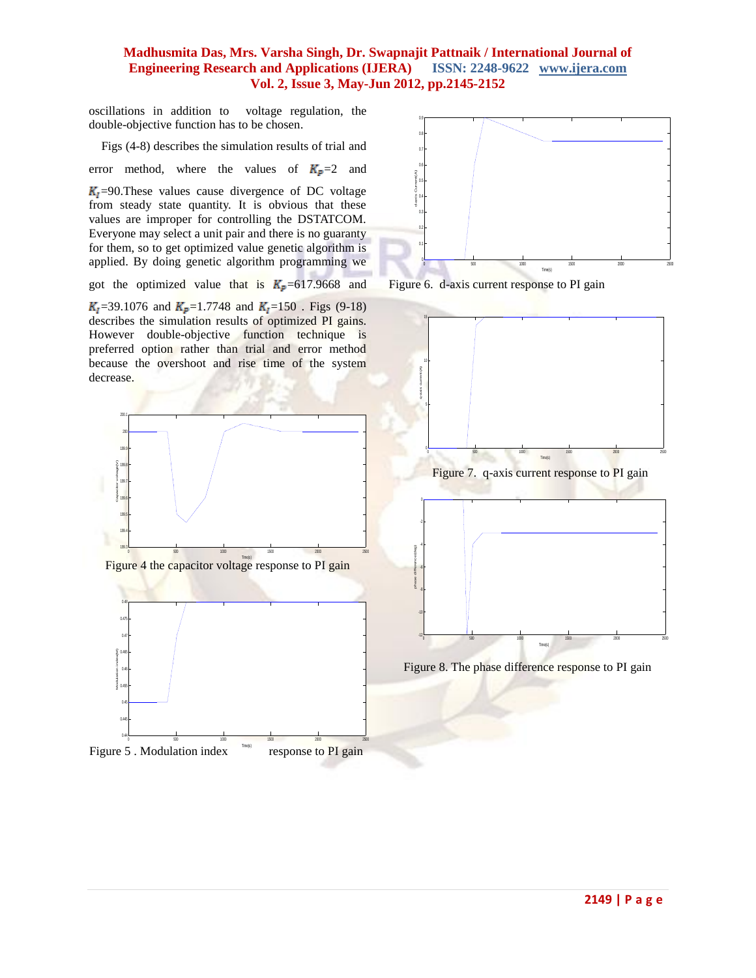oscillations in addition to voltage regulation, the double-objective function has to be chosen.

Figs (4-8) describes the simulation results of trial and

error method, where the values of  $K_p=2$  and

 $K<sub>1</sub>=90$ . These values cause divergence of DC voltage from steady state quantity. It is obvious that these values are improper for controlling the DSTATCOM. Everyone may select a unit pair and there is no guaranty for them, so to get optimized value genetic algorithm is applied. By doing genetic algorithm programming we

got the optimized value that is  $K_p = 617.9668$  and

 $K_1$ =39.1076 and  $K_2$ =1.7748 and  $K_1$ =150. Figs (9-18) describes the simulation results of optimized PI gains. However double-objective function technique is preferred option rather than trial and error method because the overshoot and rise time of the system decrease.



Figure 6. d-axis current response to PI gain



Figure 5 . Modulation index response to PI gain



Figure 8. The phase difference response to PI gain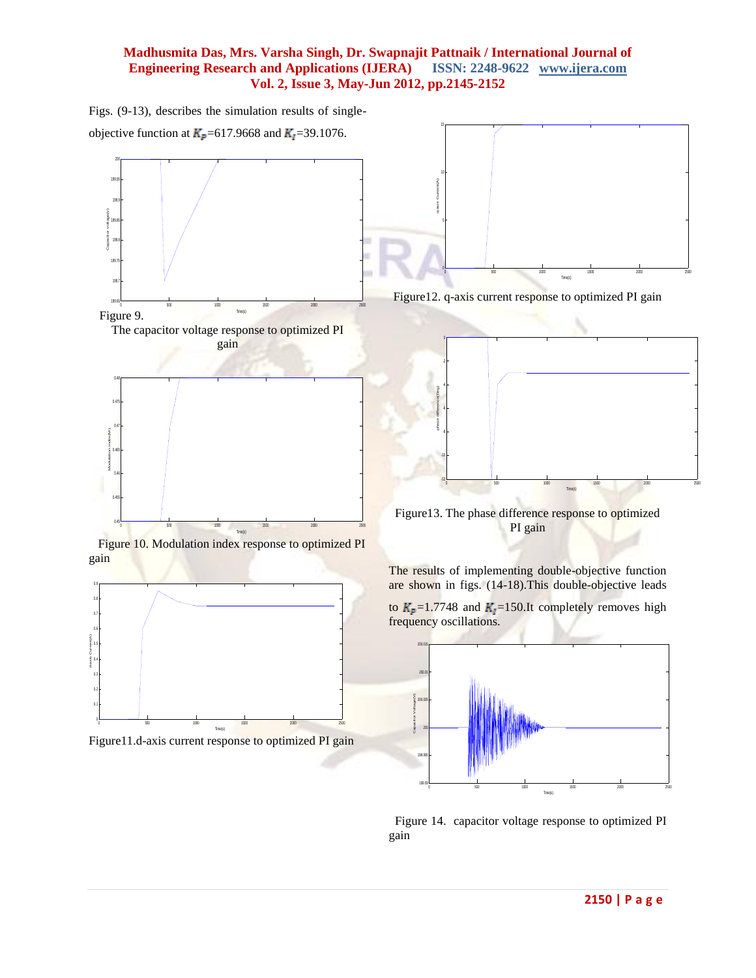Figs. (9-13), describes the simulation results of single-





 Figure 10. Modulation index response to optimized PI gain



Figure11.d-axis current response to optimized PI gain



Figure12. q-axis current response to optimized PI gain



Figure13. The phase difference response to optimized PI gain

The results of implementing double-objective function are shown in figs. (14-18).This double-objective leads

to  $K_p=1.7748$  and  $K_l=150$ .It completely removes high frequency oscillations.



 Figure 14. capacitor voltage response to optimized PI gain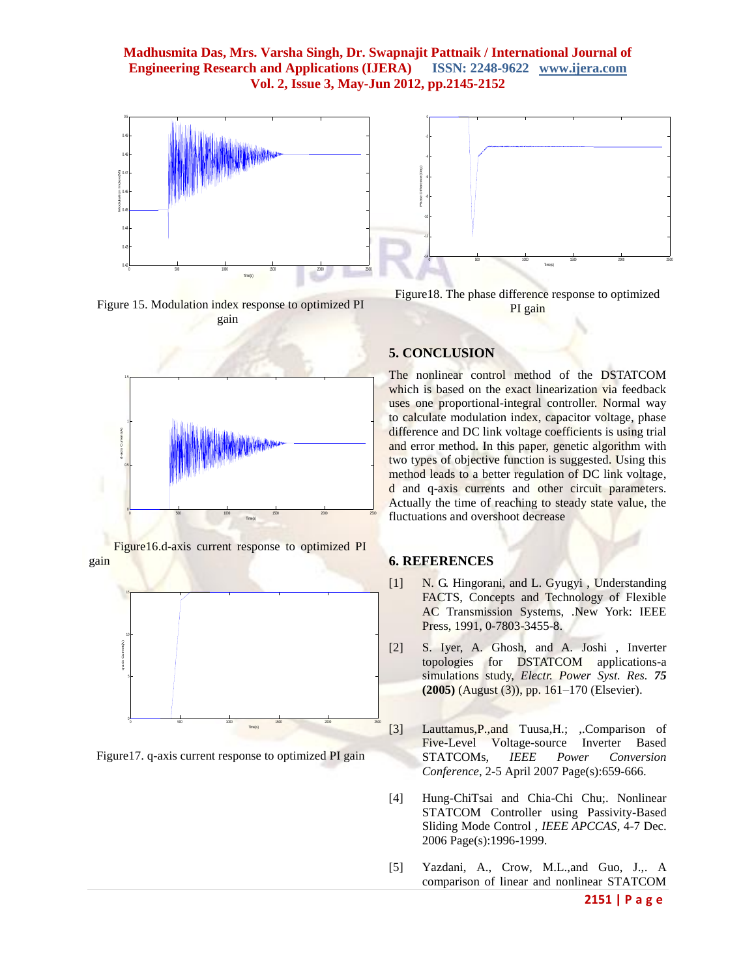

Figure 15. Modulation index response to optimized PI gain





 Figure16.d-axis current response to optimized PI gain



Figure17. q-axis current response to optimized PI gain

# **5. CONCLUSION**

The nonlinear control method of the DSTATCOM which is based on the exact linearization via feedback uses one proportional-integral controller. Normal way to calculate modulation index, capacitor voltage, phase difference and DC link voltage coefficients is using trial and error method. In this paper, genetic algorithm with two types of objective function is suggested. Using this method leads to a better regulation of DC link voltage, d and q-axis currents and other circuit parameters. Actually the time of reaching to steady state value, the fluctuations and overshoot decrease

#### **6. REFERENCES**

- [1] N. G. Hingorani, and L. Gyugyi , Understanding FACTS, Concepts and Technology of Flexible AC Transmission Systems, .New York: IEEE Press, 1991, 0-7803-3455-8.
- [2] S. Iyer, A. Ghosh, and A. Joshi , Inverter topologies for DSTATCOM applications-a simulations study, *Electr. Power Syst. Res. 75* **(2005)** (August (3)), pp. 161–170 (Elsevier).
- [3] Lauttamus,P.,and Tuusa,H.; ,.Comparison of Five-Level Voltage-source Inverter Based STATCOMs, *IEEE Power Conversion Conference*, 2-5 April 2007 Page(s):659-666.
- [4] Hung-ChiTsai and Chia-Chi Chu;. Nonlinear STATCOM Controller using Passivity-Based Sliding Mode Control , *IEEE APCCAS*, 4-7 Dec. 2006 Page(s):1996-1999.
- [5] Yazdani, A., Crow, M.L.,and Guo, J.,. A comparison of linear and nonlinear STATCOM